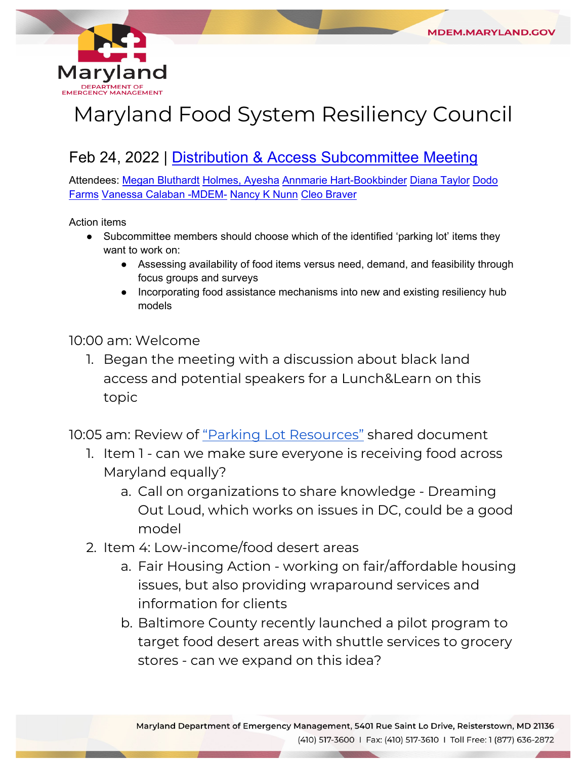

# Maryland Food System Resiliency Council

# Feb 24, 2022 | [Distribution & Access Subcommittee Meeting](https://www.google.com/calendar/event?eid=Mjh2bjIwbmRxZHFtbmduaThjcnNydGYxYXBfMjAyMjAyMjRUMTgwMDAwWiB2YW5lc3NhLmNhbGFiYW5AbWFyeWxhbmQuZ292)

Attendees: [Megan Bluthardt](mailto:mbluthardt@baltometro.org) [Holmes, Ayesha](mailto:aholmes@strength.org) [Annmarie Hart-Bookbinder](mailto:annmarie@mocofoodcouncil.org) [Diana Taylor](mailto:srtayl33@aacounty.org) Dodo [Farms](mailto:dodofarms@gmail.com) [Vanessa Calaban -MDEM-](mailto:vanessa.calaban@maryland.gov) [Nancy K Nunn](mailto:nnunn@umd.edu) [Cleo Braver](mailto:cpbraver@gmail.com) 

Action items

- Subcommittee members should choose which of the identified 'parking lot' items they want to work on:
	- Assessing availability of food items versus need, demand, and feasibility through focus groups and surveys
	- Incorporating food assistance mechanisms into new and existing resiliency hub models

10:00 am: Welcome

 1. Began the meeting with a discussion about black land access and potential speakers for a Lunch&Learn on this topic

10:05 am: Review of ["Parking Lot Resources"](https://www.dropbox.com/scl/fi/nfulruesc903nhdxwyn71/DA-Parking-Lot-Resources.paper?dl=0&rlkey=8x6v0fc93su91g5a9kl9d66qb) shared document

- 1. Item 1 can we make sure everyone is receiving food across Maryland equally?
	- a. Call on organizations to share knowledge Dreaming Out Loud, which works on issues in DC, could be a good model
- 2. Item 4: Low-income/food desert areas
	- a. Fair Housing Action working on fair/affordable housing issues, but also providing wraparound services and information for clients
	- b. Baltimore County recently launched a pilot program to target food desert areas with shuttle services to grocery stores - can we expand on this idea?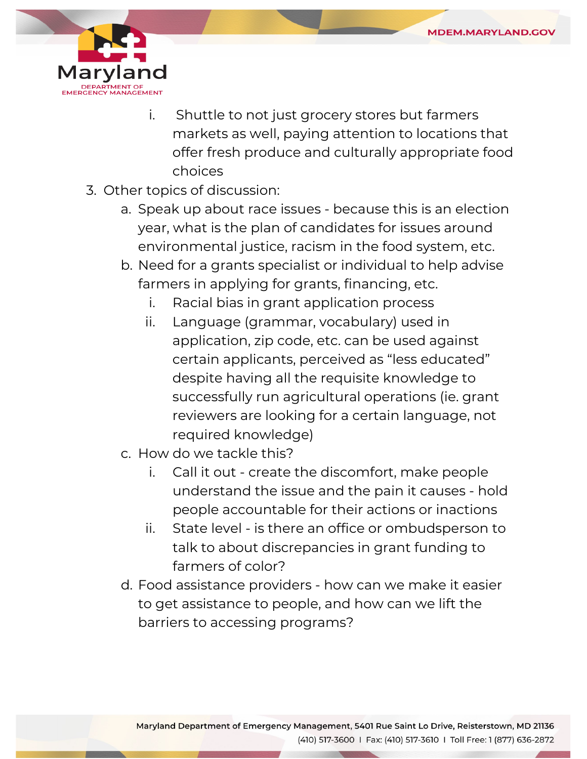

- i. Shuttle to not just grocery stores but farmers markets as well, paying attention to locations that offer fresh produce and culturally appropriate food choices
- 3. Other topics of discussion:
	- a. Speak up about race issues because this is an election year, what is the plan of candidates for issues around environmental justice, racism in the food system, etc.
	- b. Need for a grants specialist or individual to help advise farmers in applying for grants, financing, etc.
		- i. Racial bias in grant application process
		- ii. Language (grammar, vocabulary) used in application, zip code, etc. can be used against certain applicants, perceived as "less educated" despite having all the requisite knowledge to successfully run agricultural operations (ie. grant reviewers are looking for a certain language, not required knowledge)
	- c. How do we tackle this?
		- i. Call it out create the discomfort, make people understand the issue and the pain it causes - hold people accountable for their actions or inactions
		- ii. State level is there an office or ombudsperson to farmers of color? talk to about discrepancies in grant funding to
	- d. Food assistance providers how can we make it easier to get assistance to people, and how can we lift the barriers to accessing programs?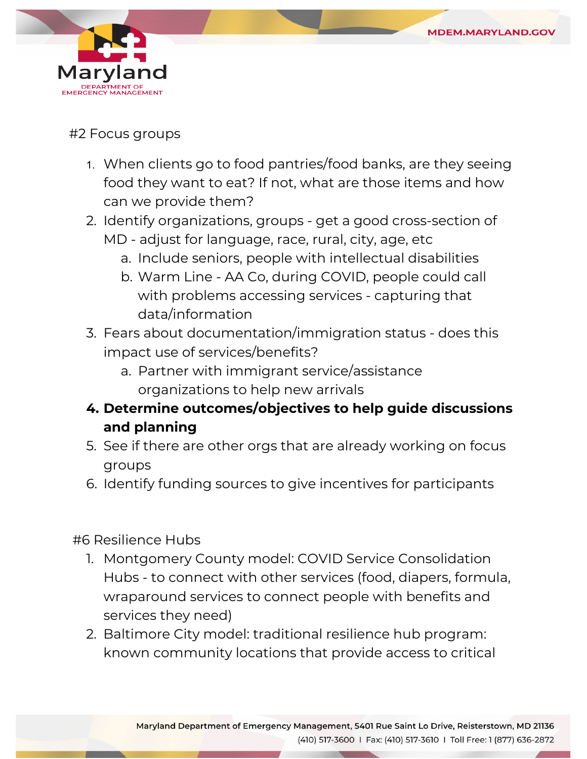

### #2 Focus groups

- food they want to eat? If not, what are those items and how 1. When clients go to food pantries/food banks, are they seeing can we provide them?
- MD adjust for language, race, rural, city, age, etc 2. Identify organizations, groups - get a good cross-section of
	- a. Include seniors, people with intellectual disabilities
	- b. Warm Line AA Co, during COVID, people could call with problems accessing services - capturing that data/information
- 3. Fears about documentation/immigration status does this impact use of services/benefits?
	- a. Partner with immigrant service/assistance organizations to help new arrivals
- **4. Determine outcomes/objectives to help guide discussions and planning**
- 5. See if there are other orgs that are already working on focus groups
- 6. Identify funding sources to give incentives for participants

## #6 Resilience Hubs

- 1. Montgomery County model: COVID Service Consolidation Hubs - to connect with other services (food, diapers, formula, wraparound services to connect people with benefits and services they need)
- 2. Baltimore City model: traditional resilience hub program: known community locations that provide access to critical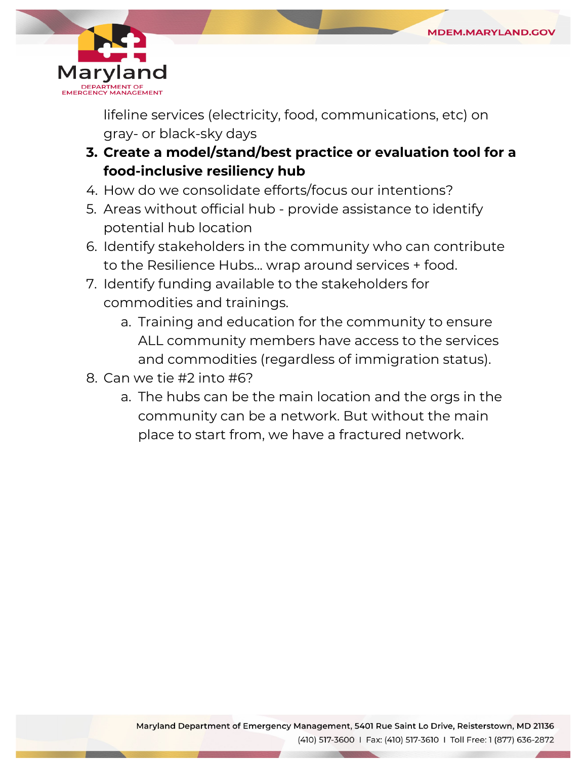

lifeline services (electricity, food, communications, etc) on gray- or black-sky days

- **3. Create a model/stand/best practice or evaluation tool for a food-inclusive resiliency hub**
- 4. How do we consolidate efforts/focus our intentions?
- 5. Areas without official hub provide assistance to identify potential hub location
- 6. Identify stakeholders in the community who can contribute to the Resilience Hubs... wrap around services + food.
- 7. Identify funding available to the stakeholders for commodities and trainings.
	- a. Training and education for the community to ensure ALL community members have access to the services and commodities (regardless of immigration status).
- 8. Can we tie #2 into #6?
	- a. The hubs can be the main location and the orgs in the community can be a network. But without the main place to start from, we have a fractured network.